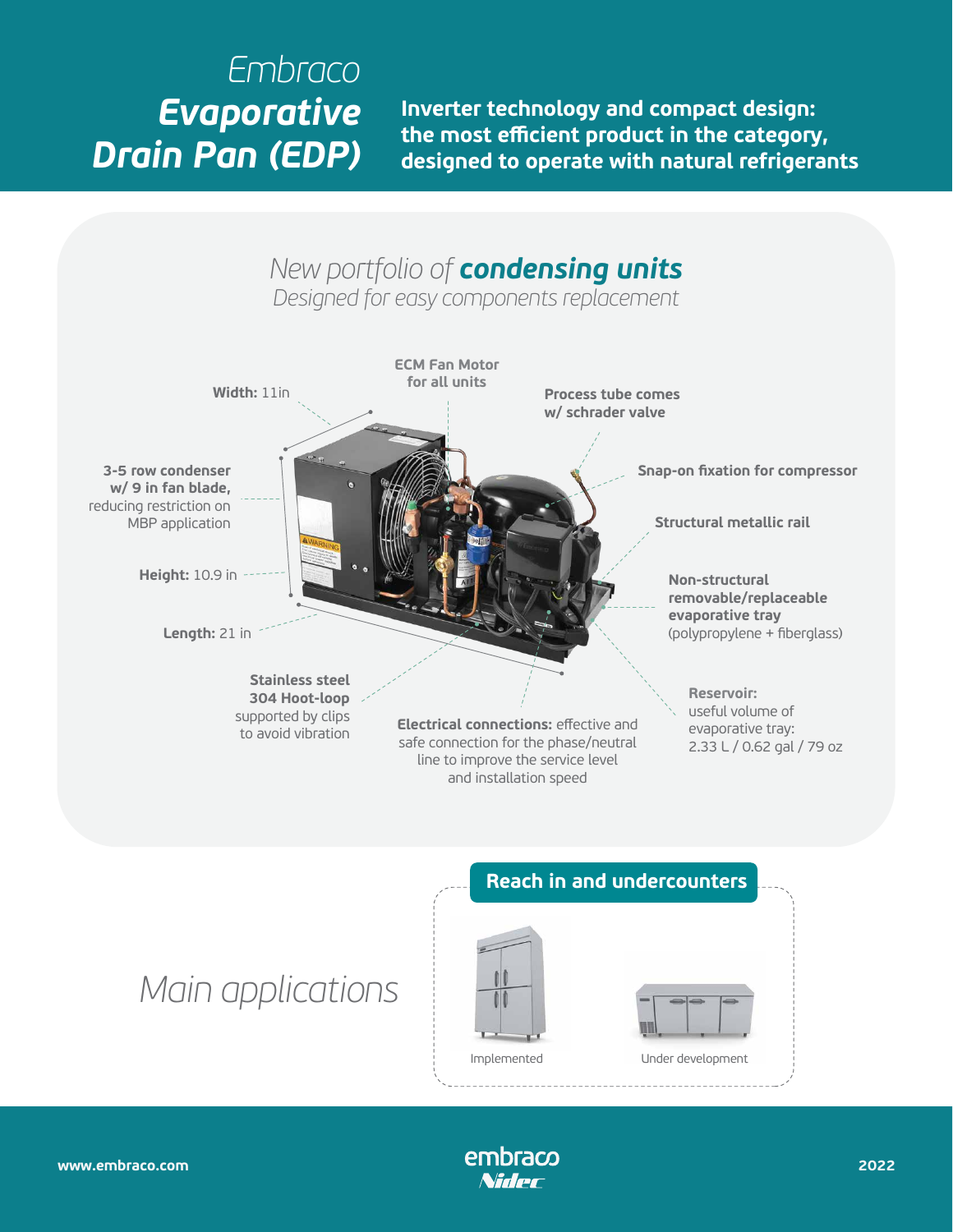## *Embraco Evaporative Drain Pan (EDP)*

**Inverter technology and compact design: the most efficient product in the category, designed to operate with natural refrigerants**